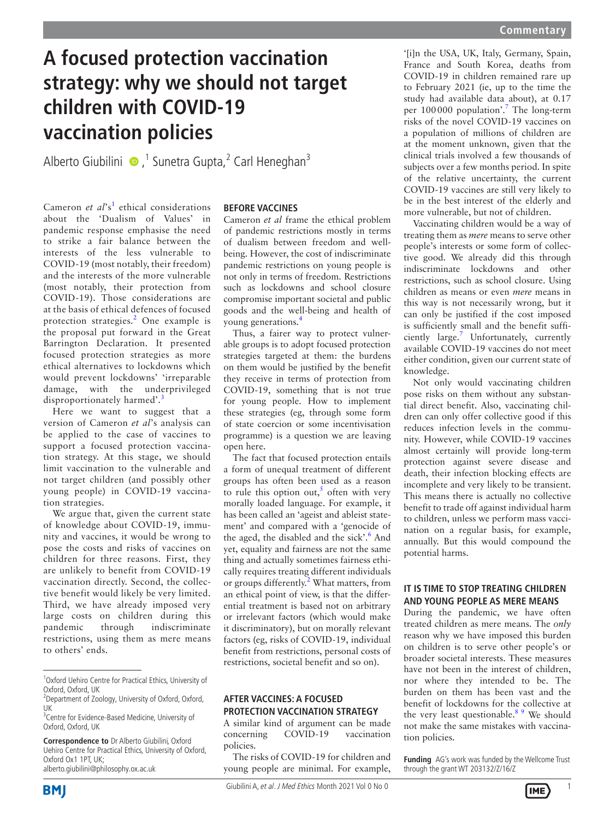# **A focused protection vaccination strategy: why we should not target children with COVID-19 vaccination policies**

Alberto Giubilini  $\bullet$ ,<sup>1</sup> Sunetra Gupta,<sup>2</sup> Carl Heneghan<sup>3</sup>

Cameron *et al*'s<sup>[1](#page-1-0)</sup> ethical considerations about the 'Dualism of Values' in pandemic response emphasise the need to strike a fair balance between the interests of the less vulnerable to COVID-19 (most notably, their freedom) and the interests of the more vulnerable (most notably, their protection from COVID-19). Those considerations are at the basis of ethical defences of focused protection strategies.<sup>[2](#page-1-1)</sup> One example is the proposal put forward in the Great Barrington Declaration. It presented focused protection strategies as more ethical alternatives to lockdowns which would prevent lockdowns' 'irreparable damage, with the underprivileged disproportionately harmed'.<sup>[3](#page-1-2)</sup>

Here we want to suggest that a version of Cameron *et al*'s analysis can be applied to the case of vaccines to support a focused protection vaccination strategy. At this stage, we should limit vaccination to the vulnerable and not target children (and possibly other young people) in COVID-19 vaccination strategies.

We argue that, given the current state of knowledge about COVID-19, immunity and vaccines, it would be wrong to pose the costs and risks of vaccines on children for three reasons. First, they are unlikely to benefit from COVID-19 vaccination directly. Second, the collective benefit would likely be very limited. Third, we have already imposed very large costs on children during this pandemic through indiscriminate restrictions, using them as mere means to others' ends.

**Correspondence to** Dr Alberto Giubilini, Oxford Uehiro Centre for Practical Ethics, University of Oxford, Oxford Ox1 1PT, UK; alberto.giubilini@philosophy.ox.ac.uk

## **BEFORE VACCINES**

Cameron *et al* frame the ethical problem of pandemic restrictions mostly in terms of dualism between freedom and wellbeing. However, the cost of indiscriminate pandemic restrictions on young people is not only in terms of freedom. Restrictions such as lockdowns and school closure compromise important societal and public goods and the well-being and health of young generations.[4](#page-1-3)

Thus, a fairer way to protect vulnerable groups is to adopt focused protection strategies targeted at them: the burdens on them would be justified by the benefit they receive in terms of protection from COVID-19, something that is not true for young people. How to implement these strategies (eg, through some form of state coercion or some incentivisation programme) is a question we are leaving open here.

The fact that focused protection entails a form of unequal treatment of different groups has often been used as a reason to rule this option out,<sup>[5](#page-1-4)</sup> often with very morally loaded language. For example, it has been called an 'ageist and ableist statement' and compared with a 'genocide of the aged, the disabled and the sick'.<sup>6</sup> And yet, equality and fairness are not the same thing and actually sometimes fairness ethically requires treating different individuals or groups differently.<sup>[2](#page-1-1)</sup> What matters, from an ethical point of view, is that the differential treatment is based not on arbitrary or irrelevant factors (which would make it discriminatory), but on morally relevant factors (eg, risks of COVID-19, individual benefit from restrictions, personal costs of restrictions, societal benefit and so on).

# **AFTER VACCINES: A FOCUSED PROTECTION VACCINATION STRATEGY**

A similar kind of argument can be made concerning COVID-19 vaccination policies.

The risks of COVID-19 for children and young people are minimal. For example,

'[i]n the USA, UK, Italy, Germany, Spain, France and South Korea, deaths from COVID-19 in children remained rare up to February 2021 (ie, up to the time the study had available data about), at 0.17 per 100 000 population'.<sup>[7](#page-1-6)</sup> The long-term risks of the novel COVID-19 vaccines on a population of millions of children are at the moment unknown, given that the clinical trials involved a few thousands of subjects over a few months period. In spite of the relative uncertainty, the current COVID-19 vaccines are still very likely to be in the best interest of the elderly and more vulnerable, but not of children.

Vaccinating children would be a way of treating them as *mere* means to serve other people's interests or some form of collective good. We already did this through indiscriminate lockdowns and other restrictions, such as school closure. Using children as means or even *mere* means in this way is not necessarily wrong, but it can only be justified if the cost imposed is sufficiently small and the benefit sufficiently large.<sup>7</sup> Unfortunately, currently available COVID-19 vaccines do not meet either condition, given our current state of knowledge.

Not only would vaccinating children pose risks on them without any substantial direct benefit. Also, vaccinating children can only offer collective good if this reduces infection levels in the community. However, while COVID-19 vaccines almost certainly will provide long-term protection against severe disease and death, their infection blocking effects are incomplete and very likely to be transient. This means there is actually no collective benefit to trade off against individual harm to children, unless we perform mass vaccination on a regular basis, for example, annually. But this would compound the potential harms.

# **IT IS TIME TO STOP TREATING CHILDREN AND YOUNG PEOPLE AS MERE MEANS**

During the pandemic, we have often treated children as mere means. The *only* reason why we have imposed this burden on children is to serve other people's or broader societal interests. These measures have not been in the interest of children, nor where they intended to be. The burden on them has been vast and the benefit of lockdowns for the collective at the very least questionable.<sup>[8 9](#page-1-7)</sup> We should not make the same mistakes with vaccination policies.

**Funding** AG's work was funded by the Wellcome Trust through the grant WT 203132/Z/16/Z





<sup>&</sup>lt;sup>1</sup>Oxford Uehiro Centre for Practical Ethics, University of Oxford, Oxford, UK

<sup>&</sup>lt;sup>2</sup> Department of Zoology, University of Oxford, Oxford, UK

<sup>&</sup>lt;sup>3</sup> Centre for Evidence-Based Medicine, University of Oxford, Oxford, UK